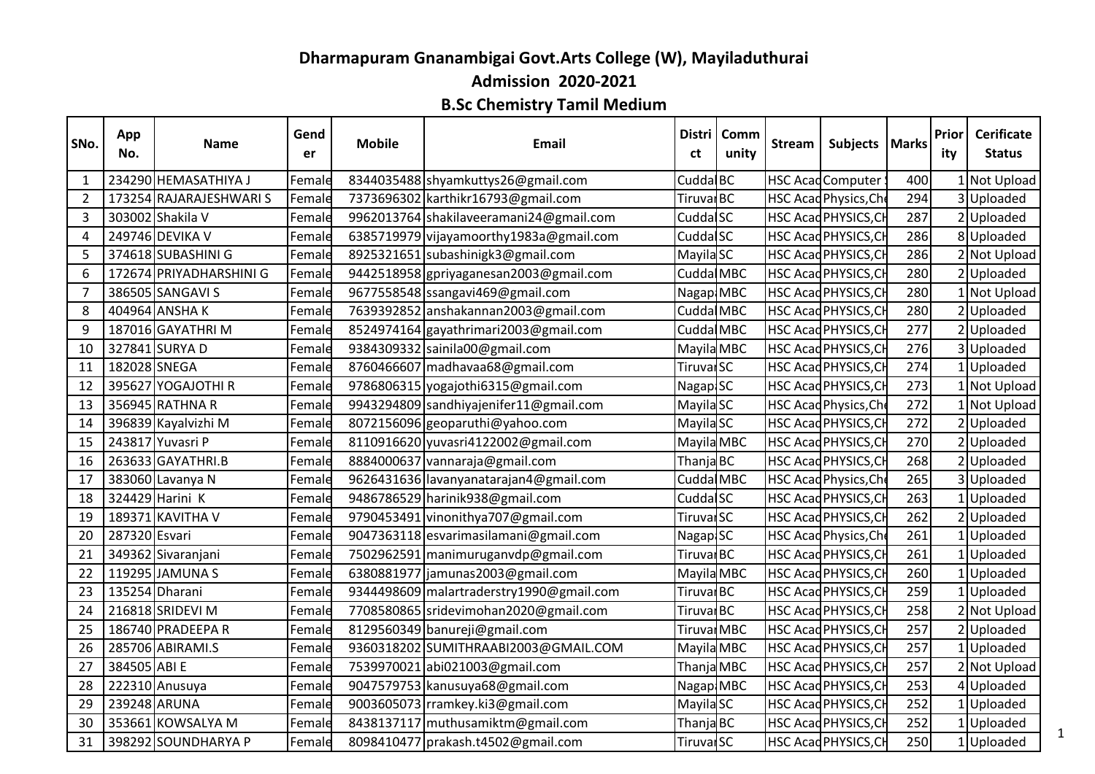## **Dharmapuram Gnanambigai Govt.Arts College (W), Mayiladuthurai**

**Admission 2020-2021**

## **B.Sc Chemistry Tamil Medium**

| SNo.           | App<br>No.    | Name                    | Gend<br>er | <b>Mobile</b> | Email                                    | Distri<br>ct          | Comm<br>unity | Stream | Subjects   Marks            |     | Prior<br>ity | <b>Cerificate</b><br><b>Status</b> |   |
|----------------|---------------|-------------------------|------------|---------------|------------------------------------------|-----------------------|---------------|--------|-----------------------------|-----|--------------|------------------------------------|---|
| 1              |               | 234290 HEMASATHIYA J    | Female     |               | 8344035488 shyamkuttys26@gmail.com       | Cudda BC              |               |        | <b>HSC Acad Computer</b>    | 400 |              | 1 Not Upload                       |   |
| $\overline{2}$ |               | 173254 RAJARAJESHWARI S | Female     |               | 7373696302 karthikr16793@gmail.com       | Tiruvar <sub>BC</sub> |               |        | HSC Acad Physics, Che       | 294 |              | 3 Uploaded                         |   |
| 3              |               | 303002 Shakila V        | Female     |               | 9962013764 shakilaveeramani24@gmail.com  | Cudda SC              |               |        | HSC Acad PHYSICS, CH        | 287 |              | 2 Uploaded                         |   |
| 4              |               | 249746 DEVIKA V         | Female     |               | 6385719979 vijayamoorthy1983a@gmail.com  | Cudda <sup>SC</sup>   |               |        | HSC Acad PHYSICS, CH        | 286 |              | 8 Uploaded                         |   |
| 5              |               | 374618 SUBASHINI G      | Female     |               | 8925321651 subashinigk3@gmail.com        | Mayila <sub>SC</sub>  |               |        | HSC Acad PHYSICS, CH        | 286 |              | 2 Not Upload                       |   |
| 6              |               | 172674 PRIYADHARSHINI G | Female     |               | 9442518958 gpriyaganesan2003@gmail.com   | Cudda MBC             |               |        | HSC Acad PHYSICS, CH        | 280 |              | 2 Uploaded                         |   |
| $\overline{7}$ |               | 386505 SANGAVI S        | Female     |               | 9677558548 ssangavi469@gmail.com         | Nagap MBC             |               |        | HSC Acad PHYSICS, CH        | 280 |              | 1 Not Upload                       |   |
| 8              |               | 404964 ANSHAK           | Female     |               | 7639392852 anshakannan2003@gmail.com     | Cudda MBC             |               |        | HSC Acad PHYSICS, CH        | 280 |              | 2 Uploaded                         |   |
| 9              |               | 187016 GAYATHRI M       | Female     |               | 8524974164 gayathrimari2003@gmail.com    | Cudda MBC             |               |        | HSC Acad PHYSICS, CH        | 277 |              | 2 Uploaded                         |   |
| 10             |               | 327841 SURYA D          | Female     |               | 9384309332 sainila00@gmail.com           | Mayila MBC            |               |        | HSC Acad PHYSICS, CH        | 276 |              | 3 Uploaded                         |   |
| 11             | 182028 SNEGA  |                         | Female     |               | 8760466607 madhavaa68@gmail.com          | Tiruvar <sub>SC</sub> |               |        | HSC Acad PHYSICS, CH        | 274 |              | Uploaded                           |   |
| 12             |               | 395627 YOGAJOTHI R      | Female     |               | 9786806315 yogajothi6315@gmail.com       | Nagap <sub>SC</sub>   |               |        | HSC Acad PHYSICS, CH        | 273 |              | 1 Not Upload                       |   |
| 13             |               | 356945 RATHNA R         | Female     |               | 9943294809 sandhiyajenifer11@gmail.com   | Mayila <sub>SC</sub>  |               |        | HSC Acad Physics, Che       | 272 |              | 1 Not Upload                       |   |
| 14             |               | 396839 Kayalvizhi M     | Female     |               | 8072156096 geoparuthi@yahoo.com          | Mayila <sub>SC</sub>  |               |        | <b>HSC Acad PHYSICS, CH</b> | 272 |              | 2 Uploaded                         |   |
| 15             |               | 243817 Yuvasri P        | Female     |               | 8110916620 yuvasri4122002@gmail.com      | Mayila MBC            |               |        | HSC Acad PHYSICS, CH        | 270 |              | 2 Uploaded                         |   |
| 16             |               | 263633 GAYATHRI.B       | Female     |               | 8884000637 vannaraja@gmail.com           | Thanja BC             |               |        | HSC Acad PHYSICS, CH        | 268 |              | 2 Uploaded                         |   |
| 17             |               | 383060 Lavanya N        | Female     |               | 9626431636 lavanyanatarajan4@gmail.com   | Cudda MBC             |               |        | HSC Acad Physics, Che       | 265 |              | 3 Uploaded                         |   |
| 18             |               | 324429 Harini K         | Female     |               | 9486786529 harinik938@gmail.com          | Cudda <sup>SC</sup>   |               |        | HSC Acad PHYSICS, CH        | 263 |              | 1 Uploaded                         |   |
| 19             |               | 189371 KAVITHA V        | Female     |               | 9790453491 vinonithya707@gmail.com       | Tiruvar <sub>SC</sub> |               |        | HSC Acad PHYSICS, CH        | 262 |              | 2 Uploaded                         |   |
| 20             | 287320 Esvari |                         | Female     |               | 9047363118 esvarimasilamani@gmail.com    | Nagap <sub>SC</sub>   |               |        | HSC Acad Physics, Che       | 261 |              | Uploaded                           |   |
| 21             |               | 349362 Sivaranjani      | Female     |               | 7502962591 manimuruganvdp@gmail.com      | Tiruvar <sub>BC</sub> |               |        | HSC Acad PHYSICS, CH        | 261 |              | Uploaded                           |   |
| 22             |               | 119295 JAMUNA S         | Female     |               | 6380881977 jamunas2003@gmail.com         | Mayila MBC            |               |        | HSC Acad PHYSICS, CH        | 260 |              | 1 Uploaded                         |   |
| 23             |               | 135254 Dharani          | Female     |               | 9344498609 malartraderstry1990@gmail.com | Tiruval <sub>BC</sub> |               |        | HSC Acad PHYSICS, CH        | 259 |              | Uploaded                           |   |
| 24             |               | 216818 SRIDEVI M        | Female     |               | 7708580865 sridevimohan2020@gmail.com    | Tiruvar <sub>BC</sub> |               |        | HSC Acad PHYSICS, CH        | 258 |              | 2 Not Upload                       |   |
| 25             |               | 186740 PRADEEPA R       | Female     |               | 8129560349 banureji@gmail.com            | Tiruval MBC           |               |        | HSC Acad PHYSICS, CH        | 257 |              | 2 Uploaded                         |   |
| 26             |               | 285706 ABIRAMI.S        | Female     |               | 9360318202 SUMITHRAABI2003@GMAIL.COM     | Mayila MBC            |               |        | HSC Acad PHYSICS, CH        | 257 |              | Uploaded                           |   |
| 27             | 384505 ABI E  |                         | Female     |               | 7539970021 abi021003@gmail.com           | Thanja MBC            |               |        | HSC Acad PHYSICS, CH        | 257 |              | 2 Not Upload                       |   |
| 28             |               | 222310 Anusuya          | Female     |               | 9047579753 kanusuya68@gmail.com          | Nagap MBC             |               |        | HSC Acad PHYSICS, CH        | 253 |              | 4 Uploaded                         |   |
| 29             |               | 239248 ARUNA            | Female     |               | 9003605073 rramkey.ki3@gmail.com         | Mayila <sub>SC</sub>  |               |        | HSC Acad PHYSICS, CH        | 252 |              | Uploaded                           |   |
| 30             |               | 353661 KOWSALYA M       | Female     |               | 8438137117 muthusamiktm@gmail.com        | Thanja BC             |               |        | HSC Acad PHYSICS, CH        | 252 |              | Uploaded                           |   |
| 31             |               | 398292 SOUNDHARYA P     | Female     |               | 8098410477 prakash.t4502@gmail.com       | Tiruvar <sub>SC</sub> |               |        | HSC Acad PHYSICS, CH        | 250 |              | 1 Uploaded                         | 1 |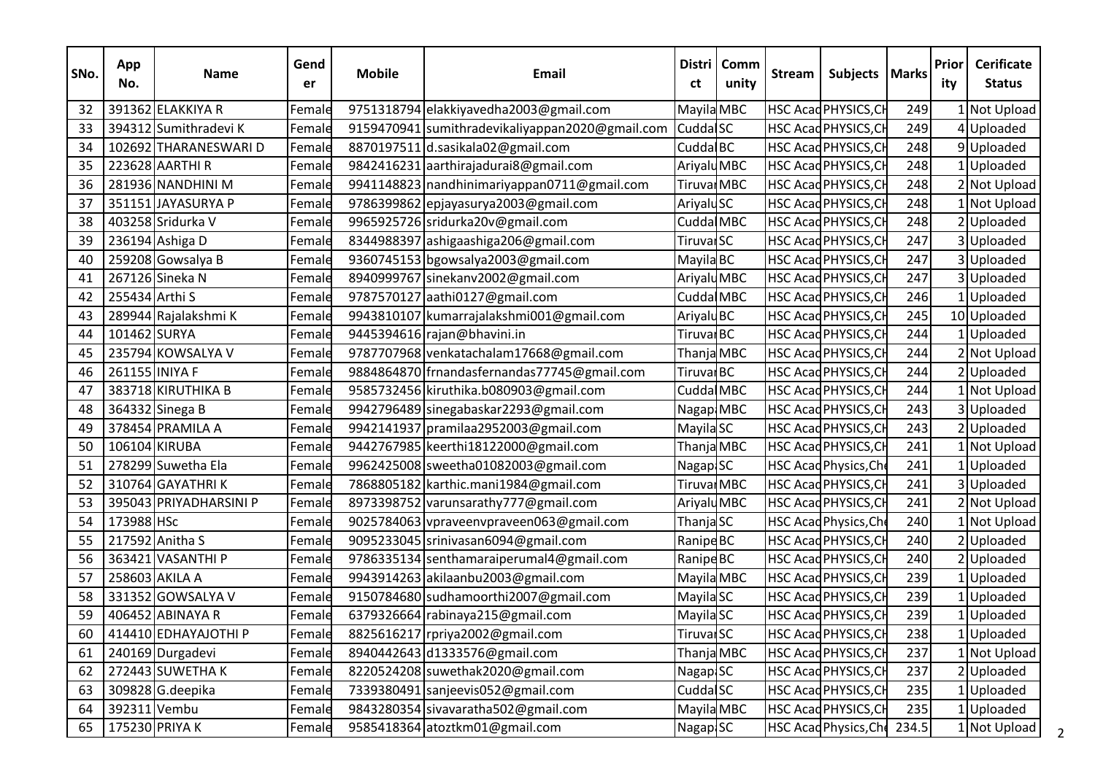| SNo. | App<br>No.     | <b>Name</b>            | Gend<br>er | <b>Mobile</b> | <b>Email</b>                                    | <b>Distri</b><br>ct    | Comm<br>unity | <b>Stream</b> | Subjects   Marks             |       | Prior<br>ity | <b>Cerificate</b><br><b>Status</b> |
|------|----------------|------------------------|------------|---------------|-------------------------------------------------|------------------------|---------------|---------------|------------------------------|-------|--------------|------------------------------------|
| 32   |                | 391362 ELAKKIYA R      | Female     |               | 9751318794 elakkiyavedha2003@gmail.com          | Mayila MBC             |               |               | HSC Acad PHYSICS, CH         | 249   |              | 1 Not Upload                       |
| 33   |                | 394312 Sumithradevi K  | Female     |               | 9159470941 sumithradevikaliyappan2020@gmail.com | Cudda <sup>SC</sup>    |               |               | HSC Acad PHYSICS, CH         | 249   |              | 4Uploaded                          |
| 34   |                | 102692 THARANESWARI D  | Female     |               | 8870197511 d.sasikala02@gmail.com               | Cudda BC               |               |               | HSC Acad PHYSICS, CH         | 248   |              | 9Uploaded                          |
| 35   |                | 223628 AARTHI R        | Female     |               | 9842416231 aarthirajadurai8@gmail.com           | Ariyalu <sub>MBC</sub> |               |               | HSC Acad PHYSICS, CH         | 248   |              | 1 Uploaded                         |
| 36   |                | 281936 NANDHINI M      | Female     |               | 9941148823 nandhinimariyappan0711@gmail.com     | Tiruvar <sub>MBC</sub> |               |               | HSC Acad PHYSICS, CH         | 248   |              | 2 Not Upload                       |
| 37   |                | 351151 JAYASURYA P     | Female     |               | 9786399862 epjayasurya2003@gmail.com            | AriyaluSC              |               |               | HSC Acad PHYSICS, CH         | 248   |              | INot Upload                        |
| 38   |                | 403258 Sridurka V      | Female     |               | 9965925726 sridurka20v@gmail.com                | Cudda MBC              |               |               | <b>HSC Acad PHYSICS, CH</b>  | 248   |              | 2Uploaded                          |
| 39   |                | 236194 Ashiga D        | Female     |               | 8344988397 ashigaashiga206@gmail.com            | Tiruvar <sub>SC</sub>  |               |               | HSC Acad PHYSICS, CH         | 247   |              | 3Uploaded                          |
| 40   |                | 259208 Gowsalya B      | Female     |               | 9360745153 bgowsalya2003@gmail.com              | Mayila BC              |               |               | HSC Acad PHYSICS, CH         | 247   |              | 3Uploaded                          |
| 41   |                | 267126 Sineka N        | Female     |               | 8940999767 sinekanv2002@gmail.com               | AriyaluMBC             |               |               | HSC Acad PHYSICS, CH         | 247   |              | 3Uploaded                          |
| 42   | 255434 Arthi S |                        | Female     |               | 9787570127 aathi0127@gmail.com                  | Cudda MBC              |               |               | HSC Acad PHYSICS, CH         | 246   |              | Uploaded                           |
| 43   |                | 289944 Rajalakshmi K   | Female     |               | 9943810107 kumarrajalakshmi001@gmail.com        | Ariyalu <sub>BC</sub>  |               |               | HSC Acad PHYSICS, CH         | 245   |              | 10 Uploaded                        |
| 44   | 101462 SURYA   |                        | Female     |               | 9445394616 rajan@bhavini.in                     | Tiruval <sub>BC</sub>  |               |               | HSC Acad PHYSICS, CH         | 244   |              | Uploaded                           |
| 45   |                | 235794 KOWSALYA V      | Female     |               | 9787707968 venkatachalam17668@gmail.com         | Thanja MBC             |               |               | HSC Acad PHYSICS, CH         | 244   |              | 2 Not Upload                       |
| 46   | 261155 INIYA F |                        | Female     |               | 9884864870 frnandasfernandas77745@gmail.com     | Tiruval <sub>BC</sub>  |               |               | HSC Acad PHYSICS, CH         | 244   |              | 2Uploaded                          |
| 47   |                | 383718 KIRUTHIKA B     | Female     |               | 9585732456 kiruthika.b080903@gmail.com          | Cudda MBC              |               |               | HSC Acad PHYSICS, CH         | 244   |              | Not Upload                         |
| 48   |                | 364332 Sinega B        | Female     |               | 9942796489 sinegabaskar2293@gmail.com           | Nagap MBC              |               |               | <b>HSC Acad PHYSICS, CH</b>  | 243   |              | 3 Uploaded                         |
| 49   |                | 378454 PRAMILA A       | Female     |               | 9942141937 pramilaa2952003@gmail.com            | Mayila <sub>SC</sub>   |               |               | HSC Acad PHYSICS, CH         | 243   |              | 2Uploaded                          |
| 50   |                | 106104 KIRUBA          | Female     |               | 9442767985 keerthi18122000@gmail.com            | Thanja MBC             |               |               | HSC Acad PHYSICS, CH         | 241   |              | 1 Not Upload                       |
| 51   |                | 278299 Suwetha Ela     | Female     |               | 9962425008 sweetha01082003@gmail.com            | Nagap SC               |               |               | HSC Acad Physics, Che        | 241   |              | Uploaded                           |
| 52   |                | 310764 GAYATHRIK       | Female     |               | 7868805182 karthic.mani1984@gmail.com           | Tiruvar <sub>MBC</sub> |               |               | HSC Acad PHYSICS, CH         | 241   |              | 3Uploaded                          |
| 53   |                | 395043 PRIYADHARSINI P | Female     |               | 8973398752 varunsarathy777@gmail.com            | Ariyalu <sub>MBC</sub> |               |               | HSC Acad PHYSICS, CH         | 241   |              | 2 Not Upload                       |
| 54   | 173988 HSc     |                        | Female     |               | 9025784063 vpraveenvpraveen063@gmail.com        | ThanjaSC               |               |               | HSC Acad Physics, Che        | 240   |              | Not Upload                         |
| 55   |                | 217592 Anitha S        | Female     |               | 9095233045 srinivasan6094@gmail.com             | Ranipe <sup>BC</sup>   |               |               | HSC Acad PHYSICS, CH         | 240   |              | 2Uploaded                          |
| 56   |                | 363421 VASANTHI P      | Female     |               | 9786335134 senthamaraiperumal4@gmail.com        | Ranipe <sup>BC</sup>   |               |               | HSC Acad PHYSICS, CH         | 240   |              | Uploaded                           |
| 57   |                | 258603 AKILA A         | Female     |               | 9943914263 akilaanbu2003@gmail.com              | Mayila MBC             |               |               | HSC Acad PHYSICS, CH         | 239   |              | Uploaded                           |
| 58   |                | 331352 GOWSALYA V      | Female     |               | 9150784680 sudhamoorthi2007@gmail.com           | Mayila <sub>SC</sub>   |               |               | HSC Acad PHYSICS, CH         | 239   |              | 1 Uploaded                         |
| 59   |                | 406452 ABINAYA R       | Female     |               | 6379326664 rabinaya215@gmail.com                | Mayila <sub>SC</sub>   |               |               | HSC Acad PHYSICS, CH         | 239   |              | LUploaded                          |
| 60   |                | 414410 EDHAYAJOTHI P   | Female     |               | 8825616217 rpriya2002@gmail.com                 | Tiruvar <sub>SC</sub>  |               |               | HSC Acad PHYSICS, CH         | 238   |              | 1 Uploaded                         |
| 61   |                | 240169 Durgadevi       | Female     |               | 8940442643 d1333576@gmail.com                   | Thanja MBC             |               |               | HSC Acad PHYSICS, CH         | 237   |              | Not Upload                         |
| 62   |                | 272443 SUWETHA K       | Female     |               | 8220524208 suwethak 2020@gmail.com              | Nagap SC               |               |               | HSC Acad PHYSICS, CH         | 237   |              | 2Uploaded                          |
| 63   |                | 309828 G.deepika       | Female     |               | 7339380491 sanjeevis052@gmail.com               | Cudda <sup>SC</sup>    |               |               | <b>HSC Acad PHYSICS, CH</b>  | 235   |              | 1Uploaded                          |
| 64   | 392311 Vembu   |                        | Female     |               | 9843280354 sivavaratha502@gmail.com             | Mayila MBC             |               |               | <b>HSC Acad PHYSICS, CH</b>  | 235   |              | LUploaded                          |
| 65   |                | 175230 PRIYA K         | Female     |               | 9585418364 atoztkm01@gmail.com                  | Nagap <sub>SC</sub>    |               |               | <b>HSC Acad Physics, Che</b> | 234.5 |              | 1 Not Upload                       |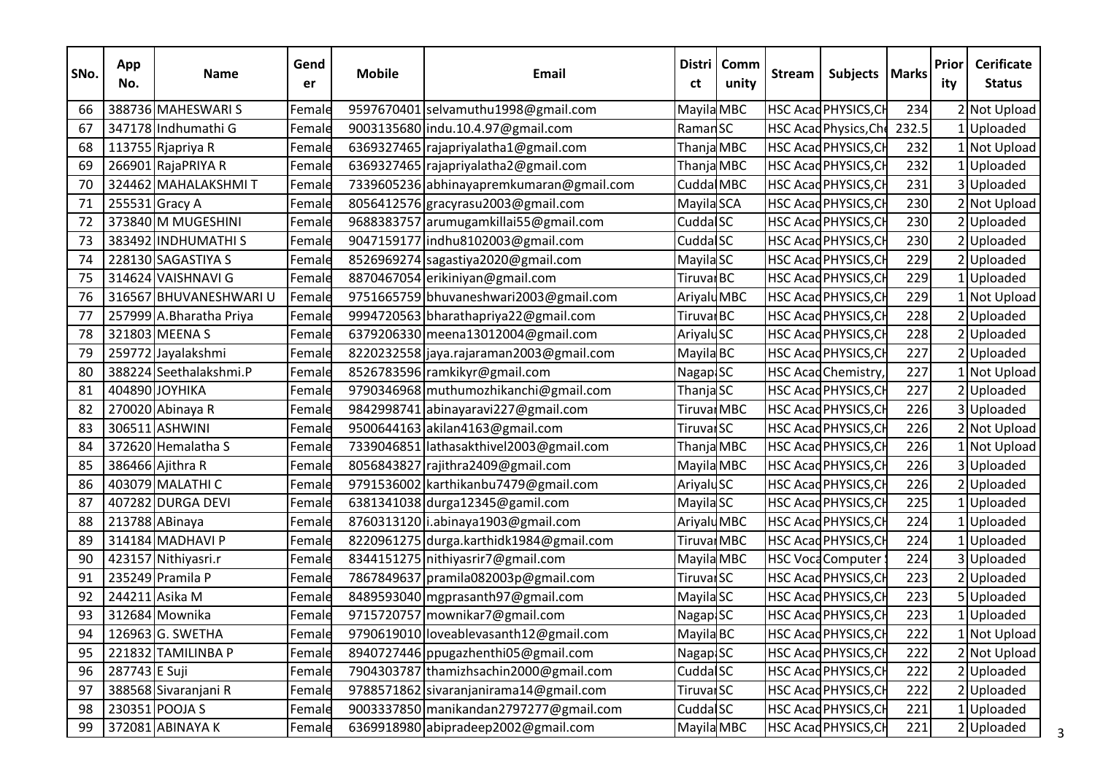| SNo. | App<br>No.    | <b>Name</b>             | Gend<br>er | <b>Mobile</b> | <b>Email</b>                             | <b>Distri</b><br>ct    | Comm<br>unity | <b>Stream</b> | Subjects   Marks            |       | Prior<br>ity | <b>Cerificate</b><br><b>Status</b> |
|------|---------------|-------------------------|------------|---------------|------------------------------------------|------------------------|---------------|---------------|-----------------------------|-------|--------------|------------------------------------|
| 66   |               | 388736 MAHESWARIS       | Female     |               | 9597670401 selvamuthu1998@gmail.com      | Mayila MBC             |               |               | HSC Acad PHYSICS, CH        | 234   |              | 2 Not Upload                       |
| 67   |               | 347178 Indhumathi G     | Female     |               | 9003135680 indu.10.4.97@gmail.com        | Raman <sub>SC</sub>    |               |               | HSC Acad Physics, Che       | 232.5 |              | 1 Uploaded                         |
| 68   |               | 113755 Rjapriya R       | Female     |               | 6369327465 rajapriyalatha1@gmail.com     | Thanja MBC             |               |               | <b>HSC Acad PHYSICS, CH</b> | 232   |              | Not Upload                         |
| 69   |               | 266901 RajaPRIYA R      | Female     |               | 6369327465 rajapriyalatha2@gmail.com     | Thanja MBC             |               |               | HSC Acad PHYSICS, CH        | 232   |              | LUploaded                          |
| 70   |               | 324462 MAHALAKSHMIT     | Female     |               | 7339605236 abhinayapremkumaran@gmail.com | Cudda MBC              |               |               | HSC Acad PHYSICS, CH        | 231   |              | 3Uploaded                          |
| 71   |               | 255531 Gracy A          | Female     |               | 8056412576 gracyrasu2003@gmail.com       | Mayila SCA             |               |               | HSC Acad PHYSICS, CH        | 230   |              | 2 Not Upload                       |
| 72   |               | 373840 M MUGESHINI      | Female     |               | 9688383757 arumugamkillai55@gmail.com    | Cudda <sup>SC</sup>    |               |               | <b>HSC Acad PHYSICS, CH</b> | 230   |              | 2Uploaded                          |
| 73   |               | 383492 INDHUMATHI S     | Female     |               | 9047159177 indhu8102003@gmail.com        | Cudda <sup>SC</sup>    |               |               | HSC Acad PHYSICS, CH        | 230   |              | 2Uploaded                          |
| 74   |               | 228130 SAGASTIYA S      | Female     |               | 8526969274 sagastiya2020@gmail.com       | Mayila <sub>SC</sub>   |               |               | HSC Acad PHYSICS, CH        | 229   |              | 2Uploaded                          |
| 75   |               | 314624 VAISHNAVI G      | Female     |               | 8870467054 erikiniyan@gmail.com          | Tiruval <sub>BC</sub>  |               |               | HSC Acad PHYSICS, CH        | 229   |              | Uploaded                           |
| 76   |               | 316567 BHUVANESHWARIU   | Female     |               | 9751665759 bhuvaneshwari2003@gmail.com   | Ariyalu <sub>MBC</sub> |               |               | HSC Acad PHYSICS, CH        | 229   |              | Not Upload                         |
| 77   |               | 257999 A.Bharatha Priya | Female     |               | 9994720563 bharathapriya22@gmail.com     | Tiruval <sub>BC</sub>  |               |               | HSC Acad PHYSICS, CH        | 228   |              | 2 Uploaded                         |
| 78   |               | 321803 MEENA S          | Female     |               | 6379206330 meena13012004@gmail.com       | AriyaluSC              |               |               | HSC Acad PHYSICS, CH        | 228   |              | 2Uploaded                          |
| 79   |               | 259772 Jayalakshmi      | Female     |               | 8220232558 jaya.rajaraman 2003@gmail.com | Mayila BC              |               |               | HSC Acad PHYSICS, CH        | 227   |              | 2Uploaded                          |
| 80   |               | 388224 Seethalakshmi.P  | Female     |               | 8526783596 ramkikyr@gmail.com            | Nagap SC               |               |               | HSC Acad Chemistry,         | 227   |              | Not Upload                         |
| 81   |               | 404890 JOYHIKA          | Female     |               | 9790346968 muthumozhikanchi@gmail.com    | ThanjaSC               |               |               | HSC Acad PHYSICS, CH        | 227   |              | 2Uploaded                          |
| 82   |               | 270020 Abinaya R        | Female     |               | 9842998741 abinayaravi227@gmail.com      | Tiruval MBC            |               |               | <b>HSC Acad PHYSICS, CH</b> | 226   |              | 3 Uploaded                         |
| 83   |               | 306511 ASHWINI          | Female     |               | 9500644163 akilan4163@gmail.com          | Tiruvar <sub>SC</sub>  |               |               | HSC Acad PHYSICS, CH        | 226   |              | 2 Not Upload                       |
| 84   |               | 372620 Hemalatha S      | Female     |               | 7339046851 lathasakthivel2003@gmail.com  | Thanja MBC             |               |               | HSC Acad PHYSICS, CH        | 226   |              | 1 Not Upload                       |
| 85   |               | 386466 Ajithra R        | Female     |               | 8056843827 rajithra2409@gmail.com        | Mayila MBC             |               |               | HSC Acad PHYSICS, CH        | 226   |              | 3Uploaded                          |
| 86   |               | 403079 MALATHI C        | Female     |               | 9791536002 karthikanbu7479@gmail.com     | AriyaluSC              |               |               | HSC Acad PHYSICS, CH        | 226   |              | 2 Uploaded                         |
| 87   |               | 407282 DURGA DEVI       | Female     |               | 6381341038 durga12345@gamil.com          | Mayila <sub>SC</sub>   |               |               | <b>HSC Acad PHYSICS, CH</b> | 225   |              | 1Uploaded                          |
| 88   |               | 213788 ABinaya          | Female     |               | 8760313120 i.abinaya1903@gmail.com       | AriyaluMBC             |               |               | HSC Acad PHYSICS, CH        | 224   |              | Uploaded                           |
| 89   |               | 314184 MADHAVI P        | Female     |               | 8220961275 durga.karthidk1984@gmail.com  | Tiruval MBC            |               |               | HSC Acad PHYSICS, CH        | 224   |              | 1 Uploaded                         |
| 90   |               | 423157 Nithiyasri.r     | Female     |               | 8344151275 nithiyasrir7@gmail.com        | Mayila MBC             |               |               | <b>HSC Voca Computer:</b>   | 224   |              | 3 Uploaded                         |
| 91   |               | 235249 Pramila P        | Female     |               | 7867849637 pramila082003p@gmail.com      | Tiruvar <sub>SC</sub>  |               |               | HSC Acad PHYSICS, CH        | 223   |              | 2Uploaded                          |
| 92   |               | 244211 Asika M          | Female     |               | 8489593040 mgprasanth97@gmail.com        | Mayila <sub>SC</sub>   |               |               | <b>HSC Acad PHYSICS, CH</b> | 223   |              | 5Uploaded                          |
| 93   |               | 312684 Mownika          | Female     |               | 9715720757   mownikar 7@gmail.com        | Nagap <sub>SC</sub>    |               |               | HSC Acad PHYSICS, CH        | 223   |              | LUploaded                          |
| 94   |               | 126963 G. SWETHA        | Female     |               | 9790619010 loveablevasanth12@gmail.com   | Mayila BC              |               |               | HSC Acad PHYSICS, CH        | 222   |              | 1 Not Upload                       |
| 95   |               | 221832 TAMILINBA P      | Female     |               | 8940727446 ppugazhenthi05@gmail.com      | Nagap <sup>I</sup> SC  |               |               | HSC Acad PHYSICS, CH        | 222   |              | 2 Not Upload                       |
| 96   | 287743 E Suji |                         | Female     |               | 7904303787 thamizhsachin2000@gmail.com   | Cudda <sup>SC</sup>    |               |               | HSC Acad PHYSICS, CH        | 222   |              | 2Uploaded                          |
| 97   |               | 388568 Sivaranjani R    | Female     |               | 9788571862 sivaranjanirama14@gmail.com   | Tiruvar <sub>SC</sub>  |               |               | <b>HSC Acad PHYSICS, CH</b> | 222   |              | 2 Uploaded                         |
| 98   |               | 230351 POOJA S          | Female     |               | 9003337850 manikandan2797277@gmail.com   | Cudda <sup>SC</sup>    |               |               | HSC Acad PHYSICS, CH        | 221   |              | LUploaded                          |
| 99   |               | 372081 ABINAYA K        | Female     |               | 6369918980 abipradeep2002@gmail.com      | Mayila MBC             |               |               | HSC Acad PHYSICS, CH        | 221   |              | 2Uploaded                          |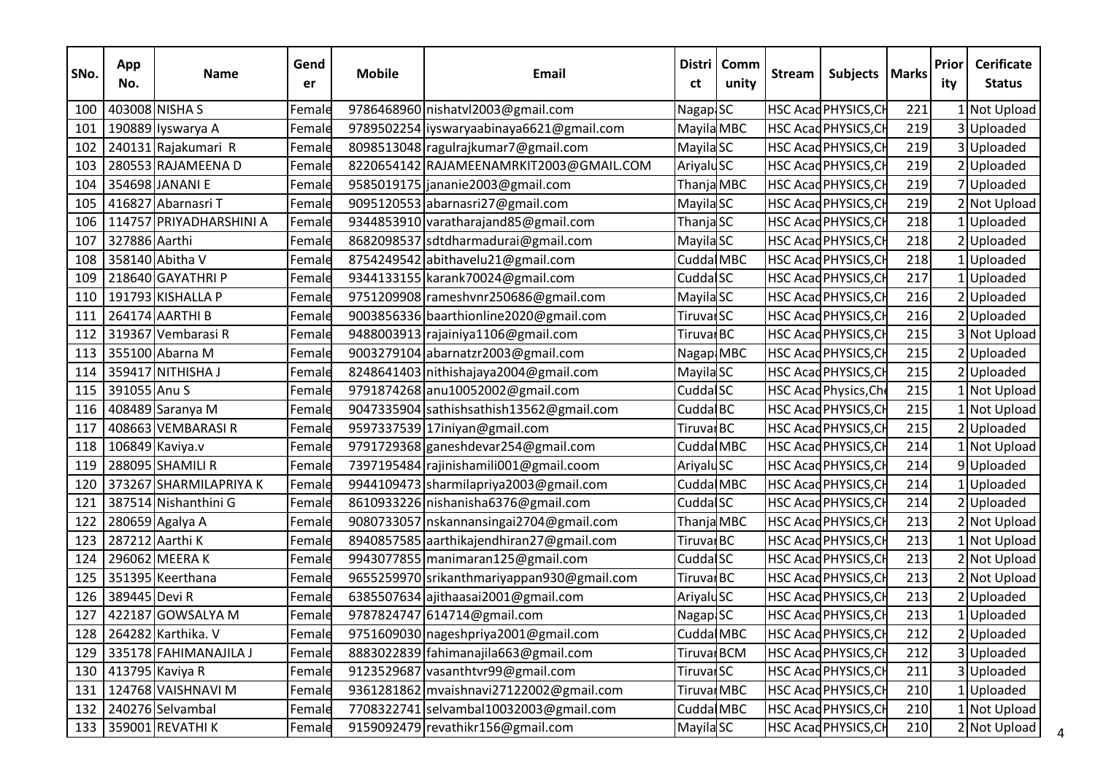| SNo. | App<br>No.    | <b>Name</b>              | Gend<br>er | <b>Mobile</b> | <b>Email</b>                               | <b>Distri</b><br>ct    | Comm<br>unity | <b>Stream</b> | Subjects   Marks            |     | Prior<br>ity | <b>Cerificate</b><br><b>Status</b> |
|------|---------------|--------------------------|------------|---------------|--------------------------------------------|------------------------|---------------|---------------|-----------------------------|-----|--------------|------------------------------------|
| 100  |               | 403008 NISHA S           | Female     |               | 9786468960 nishatvl2003@gmail.com          | Nagap <sub>SC</sub>    |               |               | HSC Acad PHYSICS, CH        | 221 |              | I Not Upload                       |
| 101  |               | 190889 Iyswarya A        | Female     |               | 9789502254 liyswaryaabinaya6621@gmail.com  | Mayila MBC             |               |               | <b>HSC Acad PHYSICS, CH</b> | 219 |              | 3Uploaded                          |
| 102  |               | 240131 Rajakumari R      | Female     |               | 8098513048 ragulrajkumar7@gmail.com        | Mayila <sub>SC</sub>   |               |               | HSC Acad PHYSICS, CH        | 219 |              | 3Uploaded                          |
| 103  |               | 280553 RAJAMEENA D       | Female     |               | 8220654142 RAJAMEENAMRKIT2003@GMAIL.COM    | AriyaluSC              |               |               | HSC Acad PHYSICS, CH        | 219 |              | 2Uploaded                          |
| 104  |               | 354698 JANANI E          | Female     |               | 9585019175 jananie 2003@gmail.com          | Thanja MBC             |               |               | HSC Acad PHYSICS, CH        | 219 |              | 7Uploaded                          |
| 105  |               | 416827 Abarnasri T       | Female     |               | 9095120553 abarnasri27@gmail.com           | Mayila <sub>SC</sub>   |               |               | HSC Acad PHYSICS, CH        | 219 |              | 2 Not Upload                       |
| 106  |               | 114757 PRIYADHARSHINI A  | Female     |               | 9344853910 varatharajand85@gmail.com       | ThanjaSC               |               |               | <b>HSC Acad PHYSICS, CH</b> | 218 |              | 1 Uploaded                         |
| 107  | 327886 Aarthi |                          | Female     |               | 8682098537 sdtdharmadurai@gmail.com        | Mayila <sub>SC</sub>   |               |               | HSC Acad PHYSICS, CH        | 218 |              | 2 Uploaded                         |
| 108  |               | 358140 Abitha V          | Female     |               | 8754249542 abithavelu21@gmail.com          | Cudda MBC              |               |               | HSC Acad PHYSICS, CH        | 218 |              | 1 Uploaded                         |
| 109  |               | 218640 GAYATHRI P        | Female     |               | 9344133155 karank70024@gmail.com           | Cudda <sup>SC</sup>    |               |               | HSC Acad PHYSICS, CH        | 217 |              | Uploaded                           |
| 110  |               | 191793 KISHALLA P        | Female     |               | 9751209908 rameshvnr250686@gmail.com       | Mayila <sub>SC</sub>   |               |               | HSC Acad PHYSICS, CH        | 216 |              | 2Uploaded                          |
| 111  |               | 264174 AARTHI B          | Female     |               | 9003856336 baarthionline2020@gmail.com     | Tiruvar <sub>SC</sub>  |               |               | HSC Acad PHYSICS, CH        | 216 |              | 2 Uploaded                         |
| 112  |               | 319367 Vembarasi R       | Female     |               | 9488003913 rajainiya1106@gmail.com         | Tiruval BC             |               |               | HSC Acad PHYSICS, CH        | 215 |              | 3 Not Upload                       |
| 113  |               | 355100 Abarna M          | Female     |               | 9003279104 abarnatzr2003@gmail.com         | Nagap MBC              |               |               | HSC Acad PHYSICS, CH        | 215 |              | 2Uploaded                          |
| 114  |               | 359417 NITHISHA J        | Female     |               | 8248641403 nithishajaya2004@gmail.com      | Mayila <sub>SC</sub>   |               |               | HSC Acad PHYSICS, CH        | 215 |              | 2Uploaded                          |
| 115  | 391055 Anu S  |                          | Female     |               | 9791874268 anu10052002@gmail.com           | Cudda <sup>SC</sup>    |               |               | HSC Acad Physics, Che       | 215 |              | Not Upload                         |
| 116  |               | 408489 Saranya M         | Female     |               | 9047335904 sathishsathish13562@gmail.com   | Cudda BC               |               |               | <b>HSC Acad PHYSICS, CH</b> | 215 |              | 1 Not Upload                       |
| 117  |               | 408663 VEMBARASIR        | Female     |               | 9597337539 17iniyan@gmail.com              | Tiruval BC             |               |               | HSC Acad PHYSICS, CH        | 215 |              | 2 Uploaded                         |
| 118  |               | 106849 Kaviya.v          | Female     |               | 9791729368 ganeshdevar254@gmail.com        | Cudda MBC              |               |               | HSC Acad PHYSICS, CH        | 214 |              | 1 Not Upload                       |
| 119  |               | 288095 SHAMILI R         | Female     |               | 7397195484 rajinishamili001@gmail.coom     | AriyaluSC              |               |               | HSC Acad PHYSICS, CH        | 214 |              | 9Uploaded                          |
| 120  |               | 373267 SHARMILAPRIYA K   | Female     |               | 9944109473 sharmilapriya2003@gmail.com     | Cudda MBC              |               |               | HSC Acad PHYSICS, CH        | 214 |              | 1 Uploaded                         |
| 121  |               | 387514 Nishanthini G     | Female     |               | 8610933226 nishanisha6376@gmail.com        | Cudda <sup>SC</sup>    |               |               | HSC Acad PHYSICS, CH        | 214 |              | 2 Uploaded                         |
| 122  |               | 280659 Agalya A          | Female     |               | 9080733057   nskannansingai 2704@gmail.com | Thanja MBC             |               |               | <b>HSC Acad PHYSICS, CH</b> | 213 |              | 2 Not Upload                       |
| 123  |               | 287212 Aarthi K          | Female     |               | 8940857585 aarthikajendhiran27@gmail.com   | Tiruval BC             |               |               | HSC Acad PHYSICS, CH        | 213 |              | 1 Not Upload                       |
| 124  |               | 296062 MEERAK            | Female     |               | 9943077855 manimaran125@gmail.com          | Cudda <sup>SC</sup>    |               |               | HSC Acad PHYSICS, CH        | 213 |              | 2 Not Upload                       |
| 125  |               | 351395 Keerthana         | Female     |               | 9655259970 srikanthmariyappan930@gmail.com | Tiruval <sub>BC</sub>  |               |               | HSC Acad PHYSICS, CH        | 213 |              | 2 Not Upload                       |
| 126  | 389445 Devi R |                          | Female     |               | 6385507634 ajithaasai2001@gmail.com        | AriyaluSC              |               |               | <b>HSC Acad PHYSICS, CH</b> | 213 |              | 2 Uploaded                         |
| 127  |               | 422187 GOWSALYA M        | Female     |               | 9787824747 614714@gmail.com                | Nagap <sub>SC</sub>    |               |               | HSC Acad PHYSICS, CH        | 213 |              | 1 Uploaded                         |
|      |               | 128   264282 Karthika. V | Female     |               | 9751609030 nageshpriya2001@gmail.com       | Cudda MBC              |               |               | <b>HSC Acad PHYSICS, CH</b> | 212 |              | 2 Uploaded                         |
| 129  |               | 335178 FAHIMANAJILA J    | Female     |               | 8883022839 fahimanajila663@gmail.com       | Tiruvar <sub>BCM</sub> |               |               | HSC Acad PHYSICS, CH        | 212 |              | 3Uploaded                          |
| 130  |               | 413795 Kaviya R          | Female     |               | 9123529687 vasanthtvr99@gmail.com          | Tiruvar <sub>SC</sub>  |               |               | HSC Acad PHYSICS, CH        | 211 |              | 3Uploaded                          |
| 131  |               | 124768 VAISHNAVI M       | Female     |               | 9361281862 mvaishnavi27122002@gmail.com    | Tiruval MBC            |               |               | <b>HSC Acad PHYSICS, CH</b> | 210 |              | 1 Uploaded                         |
| 132  |               | 240276 Selvambal         | Female     |               | 7708322741 selvambal10032003@gmail.com     | Cudda MBC              |               |               | <b>HSC Acad PHYSICS, CH</b> | 210 |              | Not Upload                         |
|      |               | 133 359001 REVATHI K     | Female     |               | 9159092479 revathikr156@gmail.com          | Mayila <sub>SC</sub>   |               |               | HSC Acad PHYSICS, CH        | 210 |              | 2 Not Upload                       |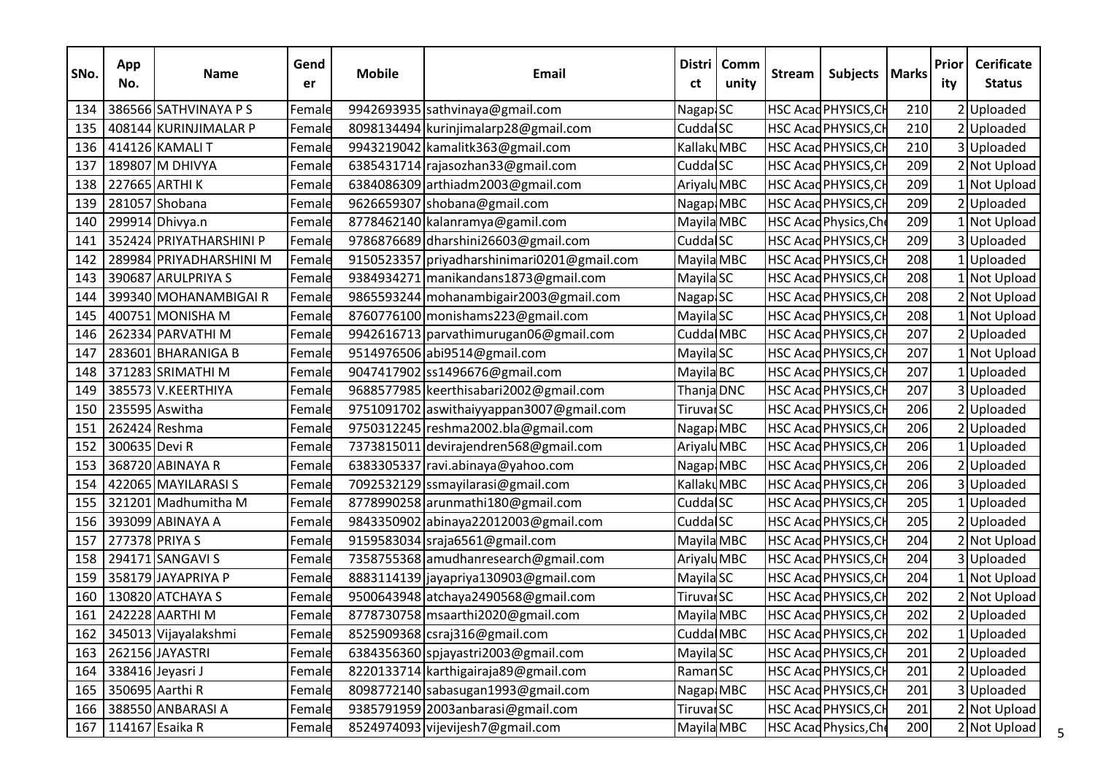| SNo. | App<br>No.    | <b>Name</b>              | Gend<br>er | <b>Mobile</b> | <b>Email</b>                                | <b>Distri</b><br>ct    | Comm<br>unity | <b>Stream</b> | Subjects   Marks            |     | Prior<br>ity | <b>Cerificate</b><br><b>Status</b> |
|------|---------------|--------------------------|------------|---------------|---------------------------------------------|------------------------|---------------|---------------|-----------------------------|-----|--------------|------------------------------------|
| 134  |               | 386566 SATHVINAYA P S    | Female     |               | 9942693935 sathvinaya@gmail.com             | Nagap SC               |               |               | HSC Acad PHYSICS, CH        | 210 |              | 2 Uploaded                         |
| 135  |               | 408144 KURINJIMALAR P    | Female     |               | 8098134494 kurinjimalarp28@gmail.com        | Cudda SC               |               |               | HSC Acad PHYSICS, CH        | 210 |              | 2 Uploaded                         |
| 136  |               | 414126 KAMALI T          | Female     |               | 9943219042 kamalitk363@gmail.com            | KallakuMBC             |               |               | HSC Acad PHYSICS, CH        | 210 |              | 3Uploaded                          |
| 137  |               | 189807 M DHIVYA          | Female     |               | 6385431714 rajasozhan33@gmail.com           | Cudda <sup>SC</sup>    |               |               | HSC Acad PHYSICS, CH        | 209 |              | 2 Not Upload                       |
| 138  |               | 227665 ARTHI K           | Female     |               | 6384086309 arthiadm2003@gmail.com           | Ariyalu <sub>MBC</sub> |               |               | HSC Acad PHYSICS, CH        | 209 |              | INot Upload                        |
| 139  |               | 281057 Shobana           | Female     |               | 9626659307 shobana@gmail.com                | Nagap MBC              |               |               | HSC Acad PHYSICS, CH        | 209 |              | 2 Uploaded                         |
| 140  |               | 299914 Dhivya.n          | Female     |               | 8778462140 kalanramya@gamil.com             | Mayila MBC             |               |               | HSC Acad Physics, Che       | 209 |              | 1 Not Upload                       |
| 141  |               | 352424 PRIYATHARSHINI P  | Female     |               | 9786876689 dharshini26603@gmail.com         | Cudda <sup>SC</sup>    |               |               | HSC Acad PHYSICS, CH        | 209 |              | 3Uploaded                          |
| 142  |               | 289984 PRIYADHARSHINI M  | Female     |               | 9150523357 priyadharshinimari0201@gmail.com | Mayila MBC             |               |               | HSC Acad PHYSICS, CH        | 208 |              | 1 Uploaded                         |
| 143  |               | 390687 ARULPRIYA S       | Female     |               | 9384934271 manikandans1873@gmail.com        | Mayila <sub>SC</sub>   |               |               | HSC Acad PHYSICS, CH        | 208 |              | INot Upload                        |
| 144  |               | 399340 MOHANAMBIGAIR     | Female     |               | 9865593244   mohanambigair 2003@gmail.com   | Nagap SC               |               |               | HSC Acad PHYSICS, CH        | 208 |              | 2 Not Upload                       |
| 145  |               | 400751 MONISHA M         | Female     |               | 8760776100 monishams223@gmail.com           | Mayila <sub>SC</sub>   |               |               | HSC Acad PHYSICS, CH        | 208 |              | 1 Not Upload                       |
| 146  |               | 262334 PARVATHI M        | Female     |               | 9942616713 parvathimurugan06@gmail.com      | Cudda MBC              |               |               | HSC Acad PHYSICS, CH        | 207 |              | 2 Uploaded                         |
| 147  |               | 283601 BHARANIGA B       | Female     |               | 9514976506 abi9514@gmail.com                | Mayila <sub>SC</sub>   |               |               | HSC Acad PHYSICS, CH        | 207 |              | 1 Not Upload                       |
| 148  |               | 371283 SRIMATHI M        | Female     |               | 9047417902 ss1496676@gmail.com              | Mayila BC              |               |               | HSC Acad PHYSICS, CH        | 207 |              | LUploaded                          |
| 149  |               | 385573 V.KEERTHIYA       | Female     |               | 9688577985 keerthisabari2002@gmail.com      | Thanja DNC             |               |               | HSC Acad PHYSICS, CH        | 207 |              | 3 Uploaded                         |
| 150  |               | 235595 Aswitha           | Female     |               | 9751091702 aswithaiyyappan3007@gmail.com    | Tiruvar <sub>SC</sub>  |               |               | HSC Acad PHYSICS, CH        | 206 |              | 2 Uploaded                         |
| 151  |               | 262424 Reshma            | Female     |               | 9750312245 reshma2002.bla@gmail.com         | Nagap MBC              |               |               | HSC Acad PHYSICS, CH        | 206 |              | 2 Uploaded                         |
| 152  | 300635 Devi R |                          | Female     |               | 7373815011 devirajendren568@gmail.com       | Ariyalu <sub>MBC</sub> |               |               | HSC Acad PHYSICS, CH        | 206 |              | 1Uploaded                          |
| 153  |               | 368720 ABINAYA R         | Female     |               | 6383305337 ravi.abinaya@yahoo.com           | Nagap MBC              |               |               | HSC Acad PHYSICS, CH        | 206 |              | 2Uploaded                          |
| 154  |               | 422065 MAYILARASI S      | Female     |               | 7092532129 ssmayilarasi@gmail.com           | Kallaku MBC            |               |               | HSC Acad PHYSICS, CH        | 206 |              | 3 Uploaded                         |
| 155  |               | 321201 Madhumitha M      | Female     |               | 8778990258 arunmathi180@gmail.com           | Cudda <sup>SC</sup>    |               |               | HSC Acad PHYSICS, CH        | 205 |              | 1 Uploaded                         |
| 156  |               | 393099 ABINAYA A         | Female     |               | 9843350902 abinaya22012003@gmail.com        | Cudda <sup>SC</sup>    |               |               | HSC Acad PHYSICS, CH        | 205 |              | 2 Uploaded                         |
| 157  |               | 277378 PRIYA S           | Female     |               | 9159583034 sraja6561@gmail.com              | Mayila MBC             |               |               | HSC Acad PHYSICS, CH        | 204 |              | 2 Not Upload                       |
| 158  |               | 294171 SANGAVI S         | Female     |               | 7358755368 amudhanresearch@gmail.com        | AriyaluMBC             |               |               | HSC Acad PHYSICS, CH        | 204 |              | 3 Uploaded                         |
| 159  |               | 358179 JAYAPRIYA P       | Female     |               | 8883114139 jayapriya130903@gmail.com        | Mayila <sub>SC</sub>   |               |               | HSC Acad PHYSICS, CH        | 204 |              | I Not Upload                       |
| 160  |               | 130820 ATCHAYA S         | Female     |               | 9500643948 atchaya2490568@gmail.com         | Tiruvar <sub>SC</sub>  |               |               | HSC Acad PHYSICS, CH        | 202 |              | 2 Not Upload                       |
| 161  |               | 242228 AARTHI M          | Female     |               | 8778730758 msaarthi 2020@gmail.com          | Mayila MBC             |               |               | HSC Acad PHYSICS, CH        | 202 |              | 2Uploaded                          |
|      |               | 162 345013 Vijayalakshmi | Female     |               | 8525909368 csraj316@gmail.com               | Cudda MBC              |               |               | HSC Acad PHYSICS, CH        | 202 |              | 1 Uploaded                         |
|      |               | 163 262156 JAYASTRI      | Female     |               | 6384356360 spjayastri2003@gmail.com         | Mayila <sub>SC</sub>   |               |               | HSC Acad PHYSICS, CH        | 201 |              | 2Uploaded                          |
|      |               | 164 338416 Jeyasri J     | Female     |               | 8220133714 karthigairaja89@gmail.com        | Raman <sub>SC</sub>    |               |               | HSC Acad PHYSICS, CH        | 201 |              | 2Uploaded                          |
|      |               | 165 350695 Aarthi R      | Female     |               | 8098772140 sabasugan1993@gmail.com          | Nagap MBC              |               |               | <b>HSC Acad PHYSICS, CH</b> | 201 |              | 3Uploaded                          |
| 166  |               | 388550 ANBARASI A        | Female     |               | 9385791959 2003anbarasi@gmail.com           | Tiruvar <sub>SC</sub>  |               |               | HSC Acad PHYSICS, CH        | 201 |              | 2 Not Upload                       |
|      |               | 167   114167 Esaika R    | Female     |               | 8524974093 vijevijesh7@gmail.com            | Mayila MBC             |               |               | HSC Acad Physics, Che       | 200 |              | 2 Not Upload                       |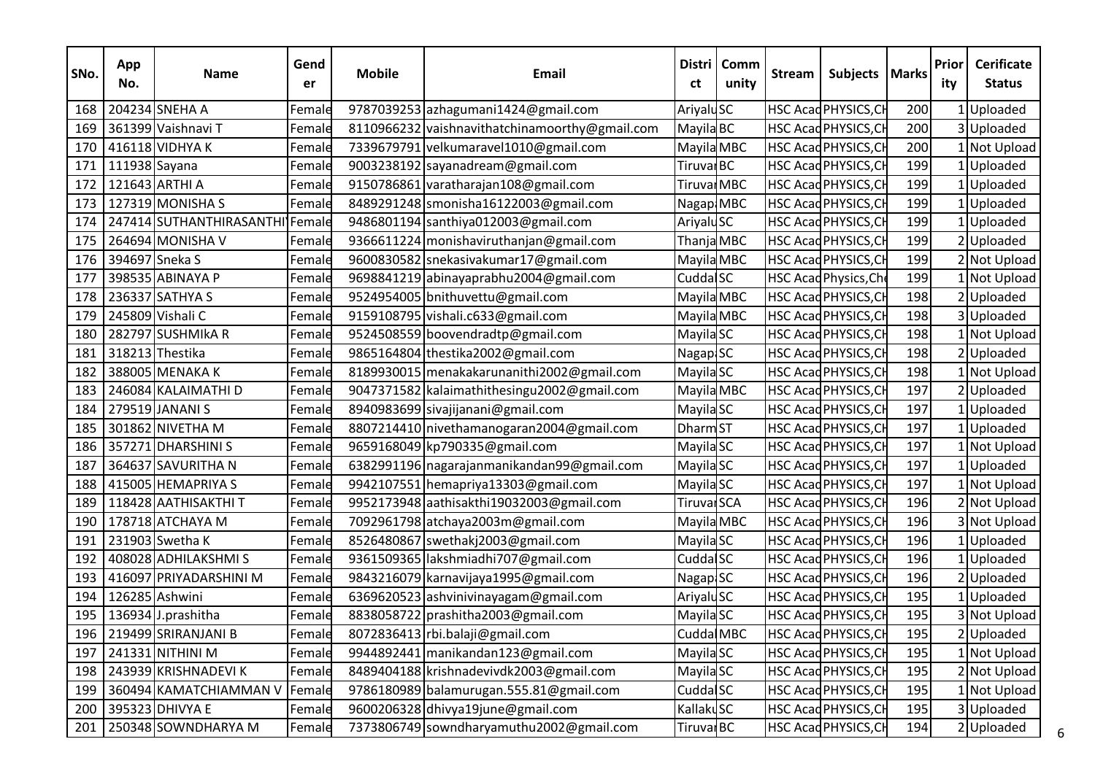| SNo. | App<br>No.    | <b>Name</b>                     | Gend<br>er | <b>Mobile</b> | Email                                          | <b>Distri</b><br>ct    | Comm<br>unity | <b>Stream</b> | Subjects   Marks      |     | Prior<br>ity | <b>Cerificate</b><br><b>Status</b> |
|------|---------------|---------------------------------|------------|---------------|------------------------------------------------|------------------------|---------------|---------------|-----------------------|-----|--------------|------------------------------------|
| 168  |               | 204234 SNEHA A                  | Female     |               | 9787039253 azhagumani1424@gmail.com            | AriyaluSC              |               |               | HSC Acad PHYSICS, CH  | 200 |              | 1 Uploaded                         |
| 169  |               | 361399 Vaishnavi T              | Female     |               | 8110966232 vaishnavithatchinamoorthy@gmail.com | Mayila BC              |               |               | HSC Acad PHYSICS, CH  | 200 |              | 3Uploaded                          |
| 170  |               | 416118 VIDHYA K                 | Female     |               | 7339679791 velkumaravel1010@gmail.com          | Mayila MBC             |               |               | HSC Acad PHYSICS, CH  | 200 |              | I Not Upload                       |
| 171  | 111938 Sayana |                                 | Female     |               | 9003238192 sayanadream@gmail.com               | Tiruvar <sub>BC</sub>  |               |               | HSC Acad PHYSICS, CH  | 199 |              | 1Uploaded                          |
| 172  |               | 121643 ARTHI A                  | Female     |               | 9150786861 varatharajan108@gmail.com           | Tiruval MBC            |               |               | HSC Acad PHYSICS, CH  | 199 |              | 1 Uploaded                         |
| 173  |               | 127319 MONISHA S                | Female     |               | 8489291248 smonisha16122003@gmail.com          | Nagap MBC              |               |               | HSC Acad PHYSICS, CH  | 199 |              | 1Uploaded                          |
| 174  |               | 247414 SUTHANTHIRASANTHI Female |            |               | 9486801194 santhiya012003@gmail.com            | AriyaluSC              |               |               | HSC Acad PHYSICS, CH  | 199 |              | 1 Uploaded                         |
| 175  |               | 264694 MONISHA V                | Female     |               | 9366611224 monishaviruthanjan@gmail.com        | Thanja MBC             |               |               | HSC Acad PHYSICS, CH  | 199 |              | 2Uploaded                          |
| 176  |               | 394697 Sneka S                  | Female     |               | 9600830582 snekasivakumar17@gmail.com          | Mayila MBC             |               |               | HSC Acad PHYSICS, CH  | 199 |              | 2 Not Upload                       |
| 177  |               | 398535 ABINAYA P                | Female     |               | 9698841219 abinayaprabhu2004@gmail.com         | Cudda <sup>SC</sup>    |               |               | HSC Acad Physics, Che | 199 |              | 1 Not Upload                       |
| 178  |               | 236337 SATHYA S                 | Female     |               | 9524954005 bnithuvettu@gmail.com               | Mayila MBC             |               |               | HSC Acad PHYSICS, CH  | 198 |              | 2 Uploaded                         |
| 179  |               | 245809 Vishali C                | Female     |               | 9159108795 vishali.c633@gmail.com              | Mayila MBC             |               |               | HSC Acad PHYSICS, CH  | 198 |              | 3 Uploaded                         |
| 180  |               | 282797 SUSHMIKA R               | Female     |               | 9524508559 boovendradtp@gmail.com              | Mayila <sub>SC</sub>   |               |               | HSC Acad PHYSICS, CH  | 198 |              | L Not Upload                       |
| 181  |               | 318213 Thestika                 | Female     |               | 9865164804 thestika2002@gmail.com              | Nagap SC               |               |               | HSC Acad PHYSICS, CH  | 198 |              | 2Uploaded                          |
| 182  |               | 388005 MENAKA K                 | Female     |               | 8189930015 menakakarunanithi 2002@gmail.com    | Mayila <sub>SC</sub>   |               |               | HSC Acad PHYSICS, CH  | 198 |              | 1 Not Upload                       |
| 183  |               | 246084 KALAIMATHI D             | Female     |               | 9047371582 kalaimathithesingu2002@gmail.com    | Mayila MBC             |               |               | HSC Acad PHYSICS, CH  | 197 |              | 2 Uploaded                         |
| 184  |               | 279519 JANANI S                 | Female     |               | 8940983699 sivajijanani@gmail.com              | Mayila <sub>SC</sub>   |               |               | HSC Acad PHYSICS, CH  | 197 |              | 1 Uploaded                         |
| 185  |               | 301862 NIVETHA M                | Female     |               | 8807214410 nivethamanogaran2004@gmail.com      | DharmST                |               |               | HSC Acad PHYSICS, CH  | 197 |              | LUploaded                          |
| 186  |               | 357271 DHARSHINIS               | Female     |               | 9659168049 kp790335@gmail.com                  | Mayila <sub>SC</sub>   |               |               | HSC Acad PHYSICS, CH  | 197 |              | 1 Not Upload                       |
| 187  |               | 364637 SAVURITHA N              | Female     |               | 6382991196 nagarajanmanikandan99@gmail.com     | Mayila <sub>SC</sub>   |               |               | HSC Acad PHYSICS, CH  | 197 |              | 1 Uploaded                         |
| 188  |               | 415005 HEMAPRIYA S              | Female     |               | 9942107551 hemapriya13303@gmail.com            | Mayila <sub>SC</sub>   |               |               | HSC Acad PHYSICS, CH  | 197 |              | 1 Not Upload                       |
| 189  |               | 118428 AATHISAKTHI T            | Female     |               | 9952173948 aathisakthi 19032003@gmail.com      | Tiruval <sub>SCA</sub> |               |               | HSC Acad PHYSICS, CH  | 196 |              | 2 Not Upload                       |
| 190  |               | 178718 ATCHAYA M                | Female     |               | 7092961798 atchaya2003m@gmail.com              | Mayila MBC             |               |               | HSC Acad PHYSICS, CH  | 196 |              | 3 Not Upload                       |
| 191  |               | 231903 Swetha K                 | Female     |               | 8526480867 swethakj2003@gmail.com              | Mayila <sub>SC</sub>   |               |               | HSC Acad PHYSICS, CH  | 196 |              | 1Uploaded                          |
| 192  |               | 408028 ADHILAKSHMIS             | Femal      |               | 9361509365 lakshmiadhi707@gmail.com            | Cudda <sup>SC</sup>    |               |               | HSC Acad PHYSICS, CH  | 196 |              | 1 Uploaded                         |
| 193  |               | 416097 PRIYADARSHINI M          | Female     |               | 9843216079 karnavijaya1995@gmail.com           | Nagap <sup>I</sup> SC  |               |               | HSC Acad PHYSICS, CH  | 196 |              | 2 Uploaded                         |
| 194  |               | 126285 Ashwini                  | Female     |               | 6369620523 ashvinivinayagam@gmail.com          | AriyaluSC              |               |               | HSC Acad PHYSICS, CH  | 195 |              | 1 Uploaded                         |
| 195  |               | 136934 J.prashitha              | Female     |               | 8838058722 prashitha 2003@gmail.com            | Mayila <sub>SC</sub>   |               |               | HSC Acad PHYSICS, CH  | 195 |              | 3 Not Upload                       |
|      |               | 196   219499 SRIRANJANI B       | Female     |               | 8072836413 rbi.balaji@gmail.com                | Cudda MBC              |               |               | HSC Acad PHYSICS, CH  | 195 |              | 2 Uploaded                         |
| 197  |               | 241331 NITHINI M                | Female     |               | 9944892441 manikandan123@gmail.com             | Mayila <sub>SC</sub>   |               |               | HSC Acad PHYSICS, CH  | 195 |              | I Not Upload                       |
| 198  |               | 243939 KRISHNADEVI K            | Female     |               | 8489404188 krishnadevivdk2003@gmail.com        | Mayila <sub>SC</sub>   |               |               | HSC Acad PHYSICS, CH  | 195 |              | 2 Not Upload                       |
| 199  |               | 360494 KAMATCHIAMMAN V          | Female     |               | 9786180989 balamurugan.555.81@gmail.com        | Cudda <sup>SC</sup>    |               |               | HSC Acad PHYSICS, CH  | 195 |              | 1 Not Upload                       |
| 200  |               | 395323 DHIVYA E                 | Female     |               | 9600206328 dhivya19june@gmail.com              | KallakuSC              |               |               | HSC Acad PHYSICS, CH  | 195 |              | 3Uploaded                          |
| 201  |               | 250348 SOWNDHARYA M             | Female     |               | 7373806749 sowndharyamuthu2002@gmail.com       | Tiruvar <sub>BC</sub>  |               |               | HSC Acad PHYSICS, CH  | 194 |              | 2 Uploaded                         |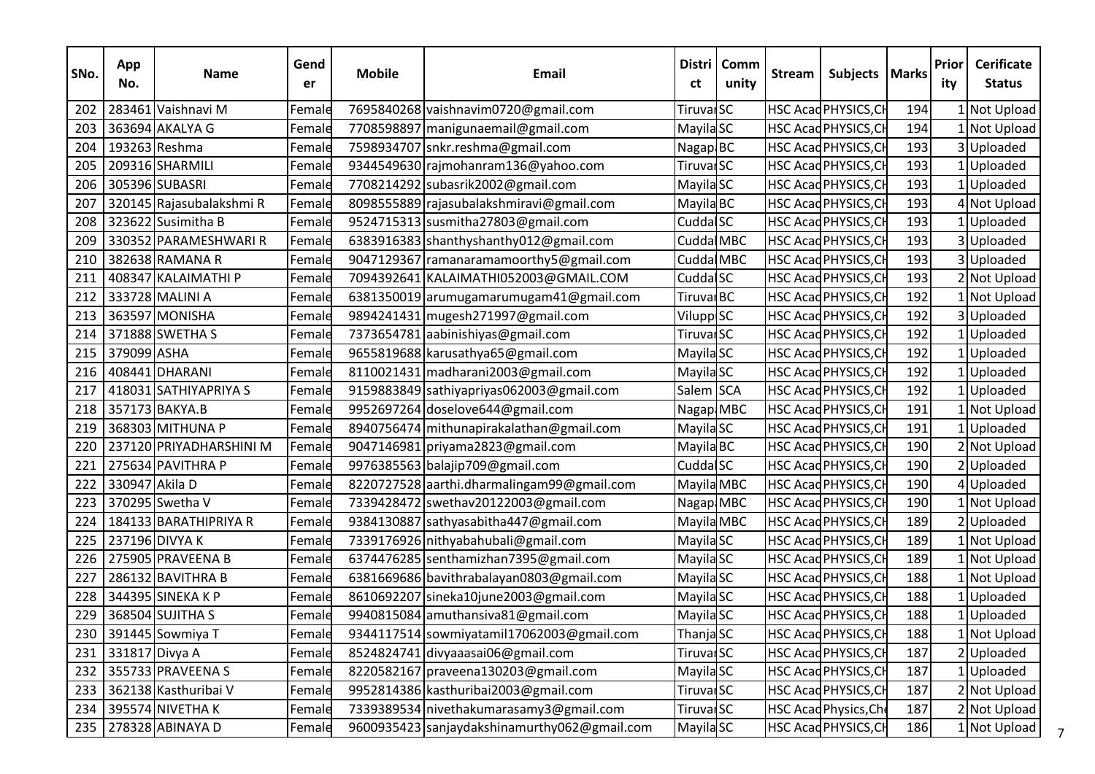| SNo. | App<br>No.     | <b>Name</b>              | Gend<br>er | <b>Mobile</b> | <b>Email</b>                                 | <b>Distri</b><br>ct   | Comm<br>unity | <b>Stream</b> | Subjects   Marks      |     | Prior<br>ity | <b>Cerificate</b><br><b>Status</b> |
|------|----------------|--------------------------|------------|---------------|----------------------------------------------|-----------------------|---------------|---------------|-----------------------|-----|--------------|------------------------------------|
| 202  |                | 283461 Vaishnavi M       | Female     |               | 7695840268 vaishnavim0720@gmail.com          | Tiruvar <sub>SC</sub> |               |               | HSC Acad PHYSICS, CH  | 194 |              | 1 Not Upload                       |
| 203  |                | 363694 AKALYA G          | Female     |               | 7708598897 manigunaemail@gmail.com           | Mayila <sub>SC</sub>  |               |               | HSC Acad PHYSICS, CH  | 194 |              | 1 Not Upload                       |
| 204  |                | 193263 Reshma            | Female     |               | 7598934707 snkr.reshma@gmail.com             | Nagap BC              |               |               | HSC Acad PHYSICS, CH  | 193 |              | 3Uploaded                          |
| 205  |                | 209316 SHARMILI          | Female     |               | 9344549630 rajmohanram136@yahoo.com          | Tiruvar <sub>SC</sub> |               |               | HSC Acad PHYSICS, CH  | 193 |              | 1 Uploaded                         |
| 206  |                | 305396 SUBASRI           | Female     |               | 7708214292 subasrik2002@gmail.com            | Mayila <sub>SC</sub>  |               |               | HSC Acad PHYSICS, CH  | 193 |              | Uploaded                           |
| 207  |                | 320145 Rajasubalakshmi R | Female     |               | 8098555889 rajasubalakshmiravi@gmail.com     | Mayila <sub>BC</sub>  |               |               | HSC Acad PHYSICS, CH  | 193 |              | 4 Not Upload                       |
| 208  |                | 323622 Susimitha B       | Female     |               | 9524715313 susmitha27803@gmail.com           | Cudda SC              |               |               | HSC Acad PHYSICS, CH  | 193 |              | 1 Uploaded                         |
| 209  |                | 330352 PARAMESHWARI R    | Female     |               | 6383916383 shanthyshanthy012@gmail.com       | Cudda MBC             |               |               | HSC Acad PHYSICS, CH  | 193 |              | 3 Uploaded                         |
| 210  |                | 382638 RAMANA R          | Female     |               | 9047129367 ramanaramamoorthy5@gmail.com      | Cudda MBC             |               |               | HSC Acad PHYSICS, CH  | 193 |              | 3 Uploaded                         |
| 211  |                | 408347 KALAIMATHI P      | Female     |               | 7094392641 KALAIMATHI052003@GMAIL.COM        | Cudda <sup>SC</sup>   |               |               | HSC Acad PHYSICS, CH  | 193 |              | 2 Not Upload                       |
| 212  |                | 333728 MALINI A          | Female     |               | 6381350019 arumugamarumugam41@gmail.com      | Tiruval <sub>BC</sub> |               |               | HSC Acad PHYSICS, CH  | 192 |              | 1 Not Upload                       |
| 213  |                | 363597 MONISHA           | Female     |               | 9894241431 mugesh271997@gmail.com            | Vilupp <sup>SC</sup>  |               |               | HSC Acad PHYSICS, CH  | 192 |              | 3 Uploaded                         |
| 214  |                | 371888 SWETHA S          | Female     |               | 7373654781 aabinishiyas@gmail.com            | Tiruvar <sub>SC</sub> |               |               | HSC Acad PHYSICS, CH  | 192 |              | Uploaded                           |
| 215  | 379099 ASHA    |                          | Female     |               | 9655819688 karusathya65@gmail.com            | Mayila <sub>SC</sub>  |               |               | HSC Acad PHYSICS, CH  | 192 |              | 1 Uploaded                         |
| 216  |                | 408441 DHARANI           | Female     |               | 8110021431 madharani2003@gmail.com           | Mayila <sub>SC</sub>  |               |               | HSC Acad PHYSICS, CH  | 192 |              | Uploaded                           |
| 217  |                | 418031 SATHIYAPRIYA S    | Female     |               | 9159883849 sathiyapriyas062003@gmail.com     | Salem SCA             |               |               | HSC Acad PHYSICS, CH  | 192 |              | IlUploaded                         |
| 218  |                | 357173 BAKYA.B           | Female     |               | 9952697264 doselove644@gmail.com             | Nagap MBC             |               |               | HSC Acad PHYSICS, CH  | 191 |              | 1 Not Upload                       |
| 219  |                | 368303 MITHUNA P         | Female     |               | 8940756474 mithunapirakalathan@gmail.com     | Mayila <sub>SC</sub>  |               |               | HSC Acad PHYSICS, CH  | 191 |              | LUploaded                          |
| 220  |                | 237120 PRIYADHARSHINI M  | Female     |               | 9047146981 priyama2823@gmail.com             | Mayila BC             |               |               | HSC Acad PHYSICS, CH  | 190 |              | 2 Not Upload                       |
| 221  |                | 275634 PAVITHRA P        | Female     |               | 9976385563 balajip709@gmail.com              | Cudda <sup>SC</sup>   |               |               | HSC Acad PHYSICS, CH  | 190 |              | 2Uploaded                          |
| 222  | 330947 Akila D |                          | Female     |               | 8220727528 aarthi.dharmalingam99@gmail.com   | Mayila MBC            |               |               | HSC Acad PHYSICS, CH  | 190 |              | 4Uploaded                          |
| 223  |                | 370295 Swetha V          | Female     |               | 7339428472 swethav20122003@gmail.com         | Nagap MBC             |               |               | HSC Acad PHYSICS, CH  | 190 |              | 1 Not Upload                       |
| 224  |                | 184133 BARATHIPRIYA R    | Female     |               | 9384130887 sathyasabitha447@gmail.com        | Mayila MBC            |               |               | HSC Acad PHYSICS, CH  | 189 |              | 2 Uploaded                         |
| 225  |                | 237196 DIVYA K           | Female     |               | 7339176926 nithyabahubali@gmail.com          | Mayila <sub>SC</sub>  |               |               | HSC Acad PHYSICS, CH  | 189 |              | 1 Not Upload                       |
| 226  |                | 275905 PRAVEENA B        | Female     |               | 6374476285 senthamizhan7395@gmail.com        | Mayila <sub>SC</sub>  |               |               | HSC Acad PHYSICS, CH  | 189 |              | Not Upload                         |
| 227  |                | 286132 BAVITHRA B        | Female     |               | 6381669686 bavithrabalayan0803@gmail.com     | Mayila <sub>SC</sub>  |               |               | HSC Acad PHYSICS, CH  | 188 |              | I Not Upload                       |
| 228  |                | 344395 SINEKA K P        | Female     |               | 8610692207 sineka10june2003@gmail.com        | Mayila <sub>SC</sub>  |               |               | HSC Acad PHYSICS, CH  | 188 |              | 1Uploaded                          |
| 229  |                | 368504 SUJITHA S         | Female     |               | 9940815084 amuthansiva81@gmail.com           | Mayila <sub>SC</sub>  |               |               | HSC Acad PHYSICS, CH  | 188 |              | 1 Uploaded                         |
|      |                | 230 391445 Sowmiya T     | Female     |               | 9344117514 sowmiyatamil17062003@gmail.com    | Thanja <sub>SC</sub>  |               |               | HSC Acad PHYSICS, CH  | 188 |              | 1 Not Upload                       |
| 231  |                | 331817 Divya A           | Female     |               | 8524824741 divyaaasai06@gmail.com            | Tiruvar <sub>SC</sub> |               |               | HSC Acad PHYSICS, CH  | 187 |              | 2Uploaded                          |
| 232  |                | 355733 PRAVEENA S        | Female     |               | 8220582167 praveena130203@gmail.com          | Mayila <sub>SC</sub>  |               |               | HSC Acad PHYSICS, CH  | 187 |              | IlUploaded                         |
| 233  |                | 362138 Kasthuribai V     | Female     |               | 9952814386 kasthuribai2003@gmail.com         | Tiruvar <sub>SC</sub> |               |               | HSC Acad PHYSICS, CH  | 187 |              | 2 Not Upload                       |
| 234  |                | 395574 NIVETHA K         | Female     |               | 7339389534 nivethakumarasamy3@gmail.com      | Tiruvar <sub>SC</sub> |               |               | HSC Acad Physics, Che | 187 |              | 2 Not Upload                       |
|      |                | 235 278328 ABINAYA D     | Female     |               | 9600935423 sanjaydakshinamurthy062@gmail.com | Mayila <sub>SC</sub>  |               |               | HSC Acad PHYSICS, CH  | 186 |              | 1 Not Upload                       |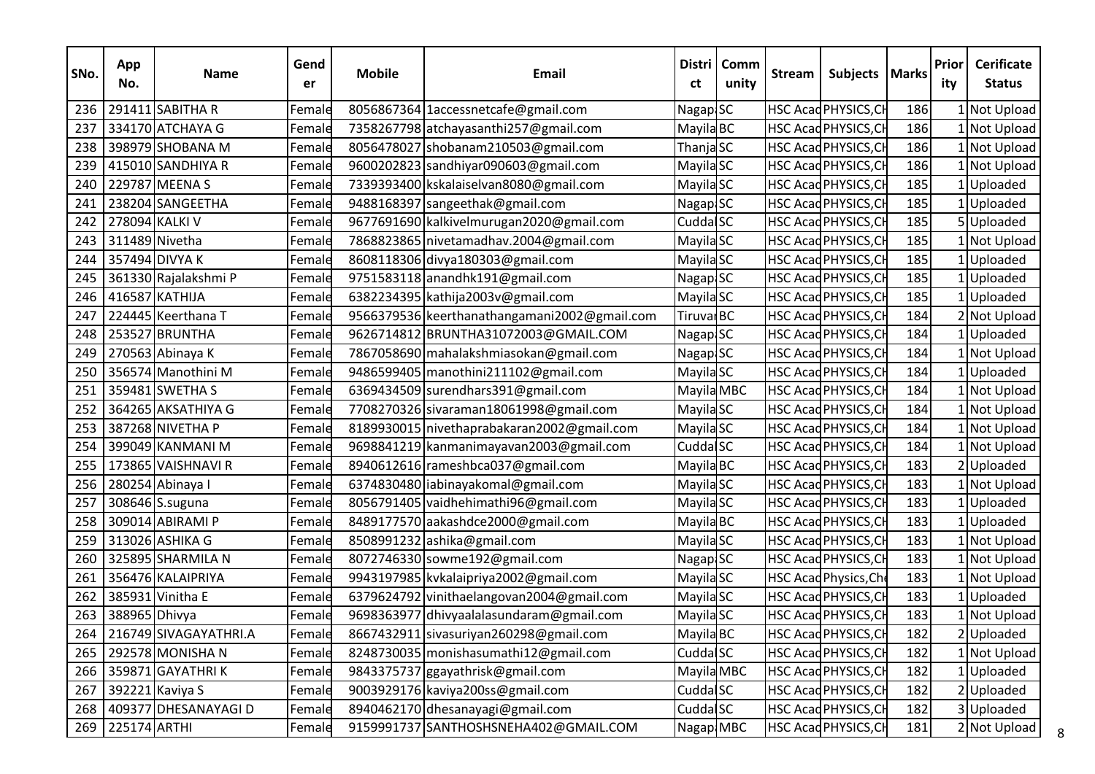| SNo. | App<br>No.       | <b>Name</b>               | Gend<br>er | <b>Mobile</b> | <b>Email</b>                                 | <b>Distri</b><br>ct   | Comm<br>unity | <b>Stream</b> | Subjects   Marks             |     | Prior<br>ity | <b>Cerificate</b><br><b>Status</b> |
|------|------------------|---------------------------|------------|---------------|----------------------------------------------|-----------------------|---------------|---------------|------------------------------|-----|--------------|------------------------------------|
| 236  |                  | 291411 SABITHA R          | Female     |               | 8056867364 1accessnetcafe@gmail.com          | Nagap SC              |               |               | HSC Acad PHYSICS, CH         | 186 |              | 1 Not Upload                       |
| 237  |                  | 334170 ATCHAYA G          | Female     |               | 7358267798 atchayasanthi257@gmail.com        | Mayila BC             |               |               | HSC Acad PHYSICS, CH         | 186 |              | 1 Not Upload                       |
| 238  |                  | 398979 SHOBANA M          | Female     |               | 8056478027 shobanam210503@gmail.com          | ThanjaSC              |               |               | HSC Acad PHYSICS, CH         | 186 |              | LNot Upload                        |
| 239  |                  | 415010 SANDHIYA R         | Female     |               | 9600202823 sandhiyar090603@gmail.com         | Mayila <sub>SC</sub>  |               |               | HSC Acad PHYSICS, CH         | 186 |              | 1 Not Upload                       |
| 240  |                  | 229787 MEENA S            | Female     |               | 7339393400 kskalaiselvan8080@gmail.com       | Mayila <sub>SC</sub>  |               |               | HSC Acad PHYSICS, CH         | 185 |              | LUploaded                          |
| 241  |                  | 238204 SANGEETHA          | Female     |               | 9488168397 sangeethak@gmail.com              | Nagap <sub>SC</sub>   |               |               | HSC Acad PHYSICS, CH         | 185 |              | 1 Uploaded                         |
| 242  |                  | 278094 KALKI V            | Female     |               | 9677691690 kalkivelmurugan2020@gmail.com     | Cudda SC              |               |               | HSC Acad PHYSICS, CH         | 185 |              | 5Uploaded                          |
| 243  |                  | 311489 Nivetha            | Female     |               | 7868823865 nivetamadhav.2004@gmail.com       | Mayila <sub>SC</sub>  |               |               | HSC Acad PHYSICS, CH         | 185 |              | Not Upload                         |
| 244  |                  | 357494 DIVYA K            | Female     |               | 8608118306 divya180303@gmail.com             | Mayila <sub>SC</sub>  |               |               | HSC Acad PHYSICS, CH         | 185 |              | 1 Uploaded                         |
| 245  |                  | 361330 Rajalakshmi P      | Female     |               | 9751583118 anandhk191@gmail.com              | Nagap SC              |               |               | HSC Acad PHYSICS, CH         | 185 |              | Uploaded                           |
| 246  |                  | 416587 KATHIJA            | Female     |               | 6382234395 kathija2003v@gmail.com            | Mayila <sub>SC</sub>  |               |               | HSC Acad PHYSICS, CH         | 185 |              | IlUploaded                         |
| 247  |                  | 224445 Keerthana T        | Female     |               | 9566379536 keerthanathangamani2002@gmail.com | Tiruval <sub>BC</sub> |               |               | HSC Acad PHYSICS, CH         | 184 |              | 2 Not Upload                       |
| 248  |                  | 253527 BRUNTHA            | Female     |               | 9626714812 BRUNTHA31072003@GMAIL.COM         | NagapiSC              |               |               | HSC Acad PHYSICS, CH         | 184 |              | Uploaded                           |
| 249  |                  | 270563 Abinaya K          | Female     |               | 7867058690 mahalakshmiasokan@gmail.com       | Nagap <sub>SC</sub>   |               |               | HSC Acad PHYSICS, CH         | 184 |              | 1 Not Upload                       |
| 250  |                  | 356574 Manothini M        | Female     |               | 9486599405 manothini211102@gmail.com         | Mayila <sub>SC</sub>  |               |               | HSC Acad PHYSICS, CH         | 184 |              | LUploaded                          |
| 251  |                  | 359481 SWETHA S           | Female     |               | 6369434509 surendhars391@gmail.com           | Mayila MBC            |               |               | HSC Acad PHYSICS, CH         | 184 |              | 1 Not Upload                       |
| 252  |                  | 364265 AKSATHIYA G        | Female     |               | 7708270326 sivaraman18061998@gmail.com       | Mayila <sub>SC</sub>  |               |               | HSC Acad PHYSICS, CH         | 184 |              | 1 Not Upload                       |
| 253  |                  | 387268 NIVETHA P          | Female     |               | 8189930015 nivethaprabakaran2002@gmail.com   | Mayila <sub>SC</sub>  |               |               | HSC Acad PHYSICS, CH         | 184 |              | INot Upload                        |
| 254  |                  | 399049 KANMANI M          | Female     |               | 9698841219 kanmanimayavan2003@gmail.com      | Cudda <sup>SC</sup>   |               |               | HSC Acad PHYSICS, CH         | 184 |              | 1 Not Upload                       |
| 255  |                  | 173865 VAISHNAVI R        | Female     |               | 8940612616 rameshbca037@gmail.com            | Mayila <sub>BC</sub>  |               |               | HSC Acad PHYSICS, CH         | 183 |              | 2Uploaded                          |
| 256  |                  | 280254 Abinaya I          | Female     |               | 6374830480 abinayakomal@gmail.com            | Mayila <sub>SC</sub>  |               |               | HSC Acad PHYSICS, CH         | 183 |              | 1 Not Upload                       |
| 257  |                  | 308646 S.suguna           | Female     |               | 8056791405 vaidhehimathi96@gmail.com         | Mayila <sub>SC</sub>  |               |               | HSC Acad PHYSICS, CH         | 183 |              | 1 Uploaded                         |
| 258  |                  | 309014 ABIRAMI P          | Female     |               | 8489177570 aakashdce2000@gmail.com           | Mayila <sub>BC</sub>  |               |               | HSC Acad PHYSICS, CH         | 183 |              | Uploaded                           |
| 259  |                  | 313026 ASHIKA G           | Female     |               | 8508991232 ashika@gmail.com                  | Mayila <sub>SC</sub>  |               |               | HSC Acad PHYSICS, CH         | 183 |              | 1 Not Upload                       |
| 260  |                  | 325895 SHARMILA N         | Female     |               | 8072746330 sowme192@gmail.com                | Nagap SC              |               |               | HSC Acad PHYSICS, CH         | 183 |              | Not Upload                         |
| 261  |                  | 356476 KALAIPRIYA         | Female     |               | 9943197985 kvkalaipriya2002@gmail.com        | Mayila SC             |               |               | <b>HSC Acad Physics, Che</b> | 183 |              | I Not Upload                       |
| 262  |                  | 385931 Vinitha E          | Female     |               | 6379624792 vinithaelangovan2004@gmail.com    | Mayila <sub>SC</sub>  |               |               | HSC Acad PHYSICS, CH         | 183 |              | 1Uploaded                          |
| 263  | 388965 Dhivya    |                           | Female     |               | 9698363977 dhivyaalalasundaram@gmail.com     | Mayila <sub>SC</sub>  |               |               | HSC Acad PHYSICS, CH         | 183 |              | I Not Upload                       |
|      |                  | 264 216749 SIVAGAYATHRI.A | Female     |               | 8667432911 sivasuriyan260298@gmail.com       | Mayila BC             |               |               | HSC Acad PHYSICS, CH         | 182 |              | 2 Uploaded                         |
| 265  |                  | 292578 MONISHA N          | Female     |               | 8248730035 monishasumathi12@gmail.com        | Cudda <sup>SC</sup>   |               |               | HSC Acad PHYSICS, CH         | 182 |              | Not Upload                         |
|      |                  | 266 359871 GAYATHRIK      | Female     |               | 9843375737 ggayathrisk@gmail.com             | Mayila MBC            |               |               | HSC Acad PHYSICS, CH         | 182 |              | IlUploaded                         |
| 267  |                  | 392221 Kaviya S           | Female     |               | 9003929176 kaviya200ss@gmail.com             | Cudda <sup>SC</sup>   |               |               | HSC Acad PHYSICS, CH         | 182 |              | 2 Uploaded                         |
| 268  |                  | 409377 DHESANAYAGI D      | Female     |               | 8940462170 dhesanayagi@gmail.com             | Cudda <sup>SC</sup>   |               |               | HSC Acad PHYSICS, CH         | 182 |              | 3Uploaded                          |
|      | 269 225174 ARTHI |                           | Female     |               | 9159991737 SANTHOSHSNEHA402@GMAIL.COM        | Nagap MBC             |               |               | HSC Acad PHYSICS, CH         | 181 |              | 2 Not Upload                       |